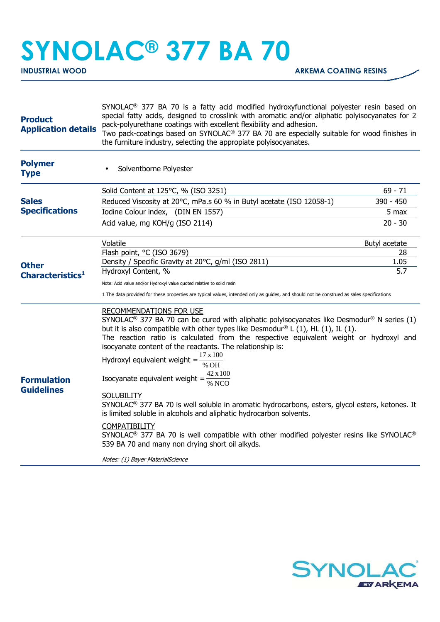## **SYNOLAC® 377 BA 70**

| <b>Product</b><br><b>Application details</b> | SYNOLAC <sup>®</sup> 377 BA 70 is a fatty acid modified hydroxyfunctional polyester resin based on<br>special fatty acids, designed to crosslink with aromatic and/or aliphatic polyisocyanates for 2<br>pack-polyurethane coatings with excellent flexibility and adhesion.<br>Two pack-coatings based on SYNOLAC <sup>®</sup> 377 BA 70 are especially suitable for wood finishes in<br>the furniture industry, selecting the appropiate polyisocyanates.                                                                                                                                                                                                                                                                                                                                                                                                                                                                                                                                           |               |  |
|----------------------------------------------|-------------------------------------------------------------------------------------------------------------------------------------------------------------------------------------------------------------------------------------------------------------------------------------------------------------------------------------------------------------------------------------------------------------------------------------------------------------------------------------------------------------------------------------------------------------------------------------------------------------------------------------------------------------------------------------------------------------------------------------------------------------------------------------------------------------------------------------------------------------------------------------------------------------------------------------------------------------------------------------------------------|---------------|--|
| <b>Polymer</b><br><b>Type</b>                | Solventborne Polyester                                                                                                                                                                                                                                                                                                                                                                                                                                                                                                                                                                                                                                                                                                                                                                                                                                                                                                                                                                                |               |  |
| <b>Sales</b><br><b>Specifications</b>        | Solid Content at 125°C, % (ISO 3251)                                                                                                                                                                                                                                                                                                                                                                                                                                                                                                                                                                                                                                                                                                                                                                                                                                                                                                                                                                  | $69 - 71$     |  |
|                                              | Reduced Viscosity at 20°C, mPa.s 60 % in Butyl acetate (ISO 12058-1)                                                                                                                                                                                                                                                                                                                                                                                                                                                                                                                                                                                                                                                                                                                                                                                                                                                                                                                                  | 390 - 450     |  |
|                                              | Iodine Colour index, (DIN EN 1557)                                                                                                                                                                                                                                                                                                                                                                                                                                                                                                                                                                                                                                                                                                                                                                                                                                                                                                                                                                    | 5 max         |  |
|                                              | Acid value, mg KOH/g (ISO 2114)                                                                                                                                                                                                                                                                                                                                                                                                                                                                                                                                                                                                                                                                                                                                                                                                                                                                                                                                                                       | $20 - 30$     |  |
| <b>Other</b><br>Characteristics <sup>1</sup> | Volatile                                                                                                                                                                                                                                                                                                                                                                                                                                                                                                                                                                                                                                                                                                                                                                                                                                                                                                                                                                                              | Butyl acetate |  |
|                                              | Flash point, °C (ISO 3679)                                                                                                                                                                                                                                                                                                                                                                                                                                                                                                                                                                                                                                                                                                                                                                                                                                                                                                                                                                            | 28            |  |
|                                              | Density / Specific Gravity at 20°C, g/ml (ISO 2811)                                                                                                                                                                                                                                                                                                                                                                                                                                                                                                                                                                                                                                                                                                                                                                                                                                                                                                                                                   | 1.05          |  |
|                                              | Hydroxyl Content, %                                                                                                                                                                                                                                                                                                                                                                                                                                                                                                                                                                                                                                                                                                                                                                                                                                                                                                                                                                                   | 5.7           |  |
|                                              | Note: Acid value and/or Hydroxyl value quoted relative to solid resin                                                                                                                                                                                                                                                                                                                                                                                                                                                                                                                                                                                                                                                                                                                                                                                                                                                                                                                                 |               |  |
|                                              | 1 The data provided for these properties are typical values, intended only as guides, and should not be construed as sales specifications                                                                                                                                                                                                                                                                                                                                                                                                                                                                                                                                                                                                                                                                                                                                                                                                                                                             |               |  |
| <b>Formulation</b><br><b>Guidelines</b>      | <b>RECOMMENDATIONS FOR USE</b><br>SYNOLAC <sup>®</sup> 377 BA 70 can be cured with aliphatic polyisocyanates like Desmodur <sup>®</sup> N series (1)<br>but it is also compatible with other types like Desmodur® L $(1)$ , HL $(1)$ , IL $(1)$ .<br>The reaction ratio is calculated from the respective equivalent weight or hydroxyl and<br>isocyanate content of the reactants. The relationship is:<br>Hydroxyl equivalent weight = $\frac{17 \times 100}{\gamma}$<br>% OH<br>Isocyanate equivalent weight = $\frac{42 \times 100}{\% \text{ NCO}}$<br><b>SOLUBILITY</b><br>SYNOLAC <sup>®</sup> 377 BA 70 is well soluble in aromatic hydrocarbons, esters, glycol esters, ketones. It<br>is limited soluble in alcohols and aliphatic hydrocarbon solvents.<br><b>COMPATIBILITY</b><br>SYNOLAC <sup>®</sup> 377 BA 70 is well compatible with other modified polyester resins like SYNOLAC <sup>®</sup><br>539 BA 70 and many non drying short oil alkyds.<br>Notes: (1) Bayer MaterialScience |               |  |